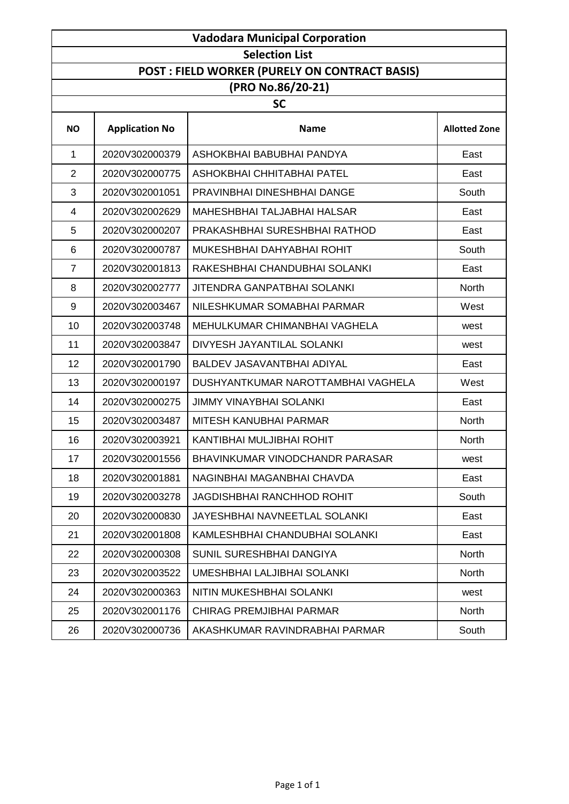| <b>Vadodara Municipal Corporation</b> |                       |                                                |                      |
|---------------------------------------|-----------------------|------------------------------------------------|----------------------|
|                                       |                       | <b>Selection List</b>                          |                      |
|                                       |                       | POST : FIELD WORKER (PURELY ON CONTRACT BASIS) |                      |
|                                       |                       | (PRO No.86/20-21)                              |                      |
|                                       |                       | <b>SC</b>                                      |                      |
| <b>NO</b>                             | <b>Application No</b> | <b>Name</b>                                    | <b>Allotted Zone</b> |
| 1                                     | 2020V302000379        | ASHOKBHAI BABUBHAI PANDYA                      | East                 |
| $\overline{2}$                        | 2020V302000775        | ASHOKBHAI CHHITABHAI PATEL                     | East                 |
| 3                                     | 2020V302001051        | PRAVINBHAI DINESHBHAI DANGE                    | South                |
| 4                                     | 2020V302002629        | MAHESHBHAI TALJABHAI HALSAR                    | East                 |
| 5                                     | 2020V302000207        | PRAKASHBHAI SURESHBHAI RATHOD                  | East                 |
| 6                                     | 2020V302000787        | MUKESHBHAI DAHYABHAI ROHIT                     | South                |
| $\overline{7}$                        | 2020V302001813        | RAKESHBHAI CHANDUBHAI SOLANKI                  | East                 |
| 8                                     | 2020V302002777        | <b>JITENDRA GANPATBHAI SOLANKI</b>             | <b>North</b>         |
| $\boldsymbol{9}$                      | 2020V302003467        | NILESHKUMAR SOMABHAI PARMAR                    | West                 |
| 10                                    | 2020V302003748        | MEHULKUMAR CHIMANBHAI VAGHELA                  | west                 |
| 11                                    | 2020V302003847        | DIVYESH JAYANTILAL SOLANKI                     | west                 |
| 12                                    | 2020V302001790        | BALDEV JASAVANTBHAI ADIYAL                     | East                 |
| 13                                    | 2020V302000197        | DUSHYANTKUMAR NAROTTAMBHAI VAGHELA             | West                 |
| 14                                    | 2020V302000275        | <b>JIMMY VINAYBHAI SOLANKI</b>                 | East                 |
| 15                                    | 2020V302003487        | MITESH KANUBHAI PARMAR                         | North                |
| 16                                    | 2020V302003921        | KANTIBHAI MULJIBHAI ROHIT                      | North                |
| 17                                    | 2020V302001556        | BHAVINKUMAR VINODCHANDR PARASAR                | west                 |
| 18                                    | 2020V302001881        | NAGINBHAI MAGANBHAI CHAVDA                     | East                 |
| 19                                    | 2020V302003278        | <b>JAGDISHBHAI RANCHHOD ROHIT</b>              | South                |
| 20                                    | 2020V302000830        | JAYESHBHAI NAVNEETLAL SOLANKI                  | East                 |
| 21                                    | 2020V302001808        | KAMLESHBHAI CHANDUBHAI SOLANKI                 | East                 |
| 22                                    | 2020V302000308        | SUNIL SURESHBHAI DANGIYA                       | North                |
| 23                                    | 2020V302003522        | <b>UMESHBHAI LALJIBHAI SOLANKI</b>             | North                |
| 24                                    | 2020V302000363        | NITIN MUKESHBHAI SOLANKI                       | west                 |
| 25                                    | 2020V302001176        | CHIRAG PREMJIBHAI PARMAR                       | North                |
| 26                                    | 2020V302000736        | AKASHKUMAR RAVINDRABHAI PARMAR                 | South                |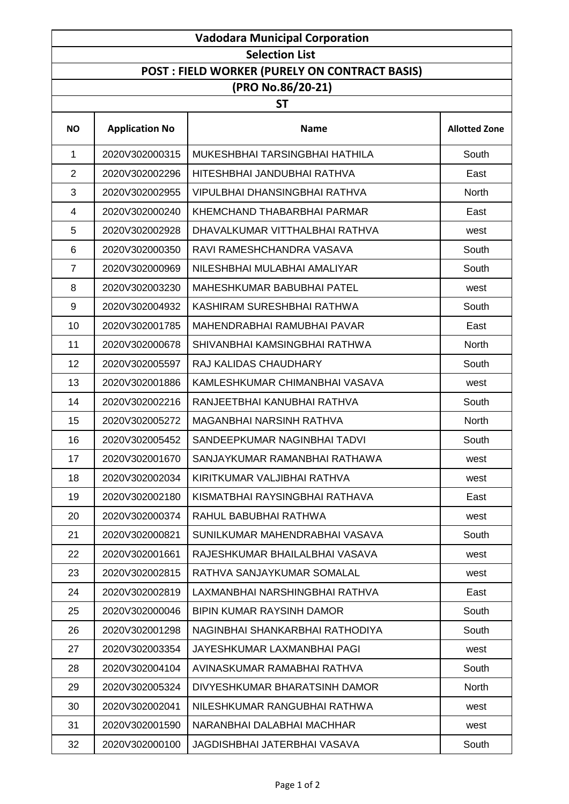| <b>Vadodara Municipal Corporation</b> |                       |                                                |                      |
|---------------------------------------|-----------------------|------------------------------------------------|----------------------|
|                                       |                       | <b>Selection List</b>                          |                      |
|                                       |                       | POST : FIELD WORKER (PURELY ON CONTRACT BASIS) |                      |
|                                       |                       | (PRO No.86/20-21)                              |                      |
|                                       |                       | <b>ST</b>                                      |                      |
| <b>NO</b>                             | <b>Application No</b> | <b>Name</b>                                    | <b>Allotted Zone</b> |
| $\mathbf{1}$                          | 2020V302000315        | MUKESHBHAI TARSINGBHAI HATHILA                 | South                |
| $\overline{2}$                        | 2020V302002296        | HITESHBHAI JANDUBHAI RATHVA                    | East                 |
| 3                                     | 2020V302002955        | <b>VIPULBHAI DHANSINGBHAI RATHVA</b>           | <b>North</b>         |
| $\overline{4}$                        | 2020V302000240        | KHEMCHAND THABARBHAI PARMAR                    | East                 |
| 5                                     | 2020V302002928        | DHAVALKUMAR VITTHALBHAI RATHVA                 | west                 |
| 6                                     | 2020V302000350        | RAVI RAMESHCHANDRA VASAVA                      | South                |
| $\overline{7}$                        | 2020V302000969        | NILESHBHAI MULABHAI AMALIYAR                   | South                |
| 8                                     | 2020V302003230        | MAHESHKUMAR BABUBHAI PATEL                     | west                 |
| 9                                     | 2020V302004932        | KASHIRAM SURESHBHAI RATHWA                     | South                |
| 10                                    | 2020V302001785        | MAHENDRABHAI RAMUBHAI PAVAR                    | East                 |
| 11                                    | 2020V302000678        | SHIVANBHAI KAMSINGBHAI RATHWA                  | <b>North</b>         |
| 12                                    | 2020V302005597        | RAJ KALIDAS CHAUDHARY                          | South                |
| 13                                    | 2020V302001886        | KAMLESHKUMAR CHIMANBHAI VASAVA                 | west                 |
| 14                                    | 2020V302002216        | RANJEETBHAI KANUBHAI RATHVA                    | South                |
| 15                                    | 2020V302005272        | <b>MAGANBHAI NARSINH RATHVA</b>                | North                |
| 16                                    | 2020V302005452        | SANDEEPKUMAR NAGINBHAI TADVI                   | South                |
| 17                                    | 2020V302001670        | SANJAYKUMAR RAMANBHAI RATHAWA                  | west                 |
| 18                                    | 2020V302002034        | KIRITKUMAR VALJIBHAI RATHVA                    | west                 |
| 19                                    | 2020V302002180        | KISMATBHAI RAYSINGBHAI RATHAVA                 | East                 |
| 20                                    | 2020V302000374        | RAHUL BABUBHAI RATHWA                          | west                 |
| 21                                    | 2020V302000821        | SUNILKUMAR MAHENDRABHAI VASAVA                 | South                |
| 22                                    | 2020V302001661        | RAJESHKUMAR BHAILALBHAI VASAVA                 | west                 |
| 23                                    | 2020V302002815        | RATHVA SANJAYKUMAR SOMALAL                     | west                 |
| 24                                    | 2020V302002819        | LAXMANBHAI NARSHINGBHAI RATHVA                 | East                 |
| 25                                    | 2020V302000046        | BIPIN KUMAR RAYSINH DAMOR                      | South                |
| 26                                    | 2020V302001298        | NAGINBHAI SHANKARBHAI RATHODIYA                | South                |
| 27                                    | 2020V302003354        | JAYESHKUMAR LAXMANBHAI PAGI                    | west                 |
| 28                                    | 2020V302004104        | AVINASKUMAR RAMABHAI RATHVA                    | South                |
| 29                                    | 2020V302005324        | DIVYESHKUMAR BHARATSINH DAMOR                  | North                |
| 30                                    | 2020V302002041        | NILESHKUMAR RANGUBHAI RATHWA                   | west                 |
| 31                                    | 2020V302001590        | NARANBHAI DALABHAI MACHHAR                     | west                 |
| 32                                    | 2020V302000100        | JAGDISHBHAI JATERBHAI VASAVA                   | South                |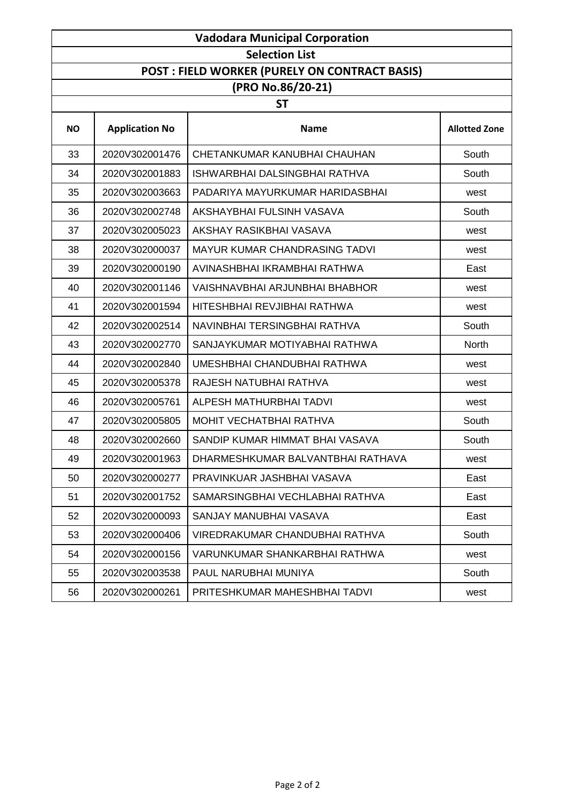| <b>Vadodara Municipal Corporation</b> |                       |                                                      |                      |
|---------------------------------------|-----------------------|------------------------------------------------------|----------------------|
|                                       |                       | <b>Selection List</b>                                |                      |
|                                       |                       | <b>POST: FIELD WORKER (PURELY ON CONTRACT BASIS)</b> |                      |
|                                       |                       | (PRO No.86/20-21)                                    |                      |
|                                       |                       | <b>ST</b>                                            |                      |
| <b>NO</b>                             | <b>Application No</b> | <b>Name</b>                                          | <b>Allotted Zone</b> |
| 33                                    | 2020V302001476        | CHETANKUMAR KANUBHAI CHAUHAN                         | South                |
| 34                                    | 2020V302001883        | ISHWARBHAI DALSINGBHAI RATHVA                        | South                |
| 35                                    | 2020V302003663        | PADARIYA MAYURKUMAR HARIDASBHAI                      | west                 |
| 36                                    | 2020V302002748        | AKSHAYBHAI FULSINH VASAVA                            | South                |
| 37                                    | 2020V302005023        | AKSHAY RASIKBHAI VASAVA                              | west                 |
| 38                                    | 2020V302000037        | <b>MAYUR KUMAR CHANDRASING TADVI</b>                 | west                 |
| 39                                    | 2020V302000190        | AVINASHBHAI IKRAMBHAI RATHWA                         | East                 |
| 40                                    | 2020V302001146        | VAISHNAVBHAI ARJUNBHAI BHABHOR                       | west                 |
| 41                                    | 2020V302001594        | HITESHBHAI REVJIBHAI RATHWA                          | west                 |
| 42                                    | 2020V302002514        | NAVINBHAI TERSINGBHAI RATHVA                         | South                |
| 43                                    | 2020V302002770        | SANJAYKUMAR MOTIYABHAI RATHWA                        | <b>North</b>         |
| 44                                    | 2020V302002840        | UMESHBHAI CHANDUBHAI RATHWA                          | west                 |
| 45                                    | 2020V302005378        | RAJESH NATUBHAI RATHVA                               | west                 |
| 46                                    | 2020V302005761        | <b>ALPESH MATHURBHAI TADVI</b>                       | west                 |
| 47                                    | 2020V302005805        | MOHIT VECHATBHAI RATHVA                              | South                |
| 48                                    | 2020V302002660        | SANDIP KUMAR HIMMAT BHAI VASAVA                      | South                |
| 49                                    | 2020V302001963        | DHARMESHKUMAR BALVANTBHAI RATHAVA                    | west                 |
| 50                                    | 2020V302000277        | PRAVINKUAR JASHBHAI VASAVA                           | East                 |
| 51                                    | 2020V302001752        | SAMARSINGBHAI VECHLABHAI RATHVA                      | East                 |
| 52                                    | 2020V302000093        | SANJAY MANUBHAI VASAVA                               | East                 |
| 53                                    | 2020V302000406        | VIREDRAKUMAR CHANDUBHAI RATHVA                       | South                |
| 54                                    | 2020V302000156        | VARUNKUMAR SHANKARBHAI RATHWA                        | west                 |
| 55                                    | 2020V302003538        | PAUL NARUBHAI MUNIYA                                 | South                |
| 56                                    | 2020V302000261        | PRITESHKUMAR MAHESHBHAI TADVI                        | west                 |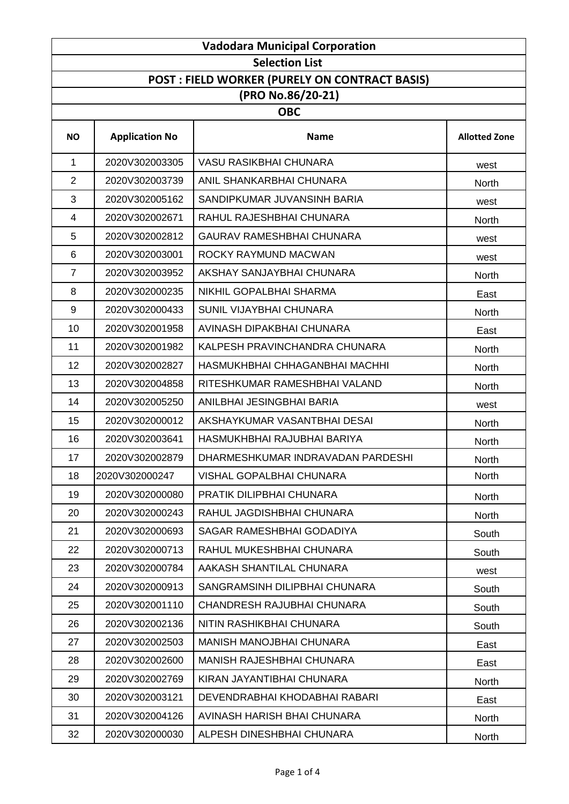| <b>Vadodara Municipal Corporation</b> |                       |                                                |                      |  |
|---------------------------------------|-----------------------|------------------------------------------------|----------------------|--|
|                                       | <b>Selection List</b> |                                                |                      |  |
|                                       |                       | POST : FIELD WORKER (PURELY ON CONTRACT BASIS) |                      |  |
|                                       |                       | (PRO No.86/20-21)                              |                      |  |
|                                       |                       | <b>OBC</b>                                     |                      |  |
| <b>NO</b>                             | <b>Application No</b> | <b>Name</b>                                    | <b>Allotted Zone</b> |  |
| 1                                     | 2020V302003305        | <b>VASU RASIKBHAI CHUNARA</b>                  | west                 |  |
| $\overline{2}$                        | 2020V302003739        | ANIL SHANKARBHAI CHUNARA                       | <b>North</b>         |  |
| 3                                     | 2020V302005162        | SANDIPKUMAR JUVANSINH BARIA                    | west                 |  |
| 4                                     | 2020V302002671        | RAHUL RAJESHBHAI CHUNARA                       | <b>North</b>         |  |
| 5                                     | 2020V302002812        | <b>GAURAV RAMESHBHAI CHUNARA</b>               | west                 |  |
| 6                                     | 2020V302003001        | ROCKY RAYMUND MACWAN                           | west                 |  |
| $\overline{7}$                        | 2020V302003952        | AKSHAY SANJAYBHAI CHUNARA                      | <b>North</b>         |  |
| 8                                     | 2020V302000235        | NIKHIL GOPALBHAI SHARMA                        | East                 |  |
| $\boldsymbol{9}$                      | 2020V302000433        | SUNIL VIJAYBHAI CHUNARA                        | North                |  |
| 10                                    | 2020V302001958        | AVINASH DIPAKBHAI CHUNARA                      | East                 |  |
| 11                                    | 2020V302001982        | KALPESH PRAVINCHANDRA CHUNARA                  | North                |  |
| 12                                    | 2020V302002827        | HASMUKHBHAI CHHAGANBHAI MACHHI                 | <b>North</b>         |  |
| 13                                    | 2020V302004858        | RITESHKUMAR RAMESHBHAI VALAND                  | <b>North</b>         |  |
| 14                                    | 2020V302005250        | ANILBHAI JESINGBHAI BARIA                      | west                 |  |
| 15                                    | 2020V302000012        | AKSHAYKUMAR VASANTBHAI DESAI                   | North                |  |
| 16                                    | 2020V302003641        | HASMUKHBHAI RAJUBHAI BARIYA                    | North                |  |
| 17                                    | 2020V302002879        | DHARMESHKUMAR INDRAVADAN PARDESHI              | <b>North</b>         |  |
| 18                                    | 2020V302000247        | <b>VISHAL GOPALBHAI CHUNARA</b>                | <b>North</b>         |  |
| 19                                    | 2020V302000080        | PRATIK DILIPBHAI CHUNARA                       | North                |  |
| 20                                    | 2020V302000243        | RAHUL JAGDISHBHAI CHUNARA                      | North                |  |
| 21                                    | 2020V302000693        | SAGAR RAMESHBHAI GODADIYA                      | South                |  |
| 22                                    | 2020V302000713        | RAHUL MUKESHBHAI CHUNARA                       | South                |  |
| 23                                    | 2020V302000784        | AAKASH SHANTILAL CHUNARA                       | west                 |  |
| 24                                    | 2020V302000913        | SANGRAMSINH DILIPBHAI CHUNARA                  | South                |  |
| 25                                    | 2020V302001110        | CHANDRESH RAJUBHAI CHUNARA                     | South                |  |
| 26                                    | 2020V302002136        | NITIN RASHIKBHAI CHUNARA                       | South                |  |
| 27                                    | 2020V302002503        | <b>MANISH MANOJBHAI CHUNARA</b>                | East                 |  |
| 28                                    | 2020V302002600        | <b>MANISH RAJESHBHAI CHUNARA</b>               | East                 |  |
| 29                                    | 2020V302002769        | KIRAN JAYANTIBHAI CHUNARA                      | North                |  |
| 30                                    | 2020V302003121        | DEVENDRABHAI KHODABHAI RABARI                  | East                 |  |
| 31                                    | 2020V302004126        | AVINASH HARISH BHAI CHUNARA                    | North                |  |
| 32                                    | 2020V302000030        | ALPESH DINESHBHAI CHUNARA                      | North                |  |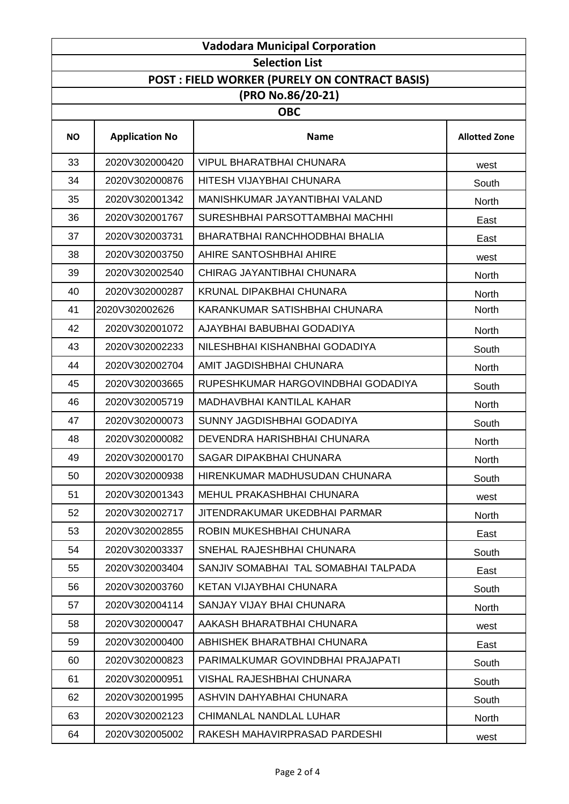| <b>Vadodara Municipal Corporation</b> |                       |                                                |                      |  |
|---------------------------------------|-----------------------|------------------------------------------------|----------------------|--|
|                                       | <b>Selection List</b> |                                                |                      |  |
|                                       |                       | POST : FIELD WORKER (PURELY ON CONTRACT BASIS) |                      |  |
|                                       |                       | (PRO No.86/20-21)                              |                      |  |
|                                       |                       | <b>OBC</b>                                     |                      |  |
| <b>NO</b>                             | <b>Application No</b> | <b>Name</b>                                    | <b>Allotted Zone</b> |  |
| 33                                    | 2020V302000420        | <b>VIPUL BHARATBHAI CHUNARA</b>                | west                 |  |
| 34                                    | 2020V302000876        | HITESH VIJAYBHAI CHUNARA                       | South                |  |
| 35                                    | 2020V302001342        | MANISHKUMAR JAYANTIBHAI VALAND                 | <b>North</b>         |  |
| 36                                    | 2020V302001767        | SURESHBHAI PARSOTTAMBHAI MACHHI                | East                 |  |
| 37                                    | 2020V302003731        | BHARATBHAI RANCHHODBHAI BHALIA                 | East                 |  |
| 38                                    | 2020V302003750        | AHIRE SANTOSHBHAI AHIRE                        | west                 |  |
| 39                                    | 2020V302002540        | CHIRAG JAYANTIBHAI CHUNARA                     | <b>North</b>         |  |
| 40                                    | 2020V302000287        | <b>KRUNAL DIPAKBHAI CHUNARA</b>                | <b>North</b>         |  |
| 41                                    | 2020V302002626        | KARANKUMAR SATISHBHAI CHUNARA                  | <b>North</b>         |  |
| 42                                    | 2020V302001072        | AJAYBHAI BABUBHAI GODADIYA                     | <b>North</b>         |  |
| 43                                    | 2020V302002233        | NILESHBHAI KISHANBHAI GODADIYA                 | South                |  |
| 44                                    | 2020V302002704        | AMIT JAGDISHBHAI CHUNARA                       | <b>North</b>         |  |
| 45                                    | 2020V302003665        | RUPESHKUMAR HARGOVINDBHAI GODADIYA             | South                |  |
| 46                                    | 2020V302005719        | MADHAVBHAI KANTILAL KAHAR                      | <b>North</b>         |  |
| 47                                    | 2020V302000073        | SUNNY JAGDISHBHAI GODADIYA                     | South                |  |
| 48                                    | 2020V302000082        | DEVENDRA HARISHBHAI CHUNARA                    | North                |  |
| 49                                    | 2020V302000170        | <b>SAGAR DIPAKBHAI CHUNARA</b>                 | <b>North</b>         |  |
| 50                                    | 2020V302000938        | HIRENKUMAR MADHUSUDAN CHUNARA                  | South                |  |
| 51                                    | 2020V302001343        | MEHUL PRAKASHBHAI CHUNARA                      | west                 |  |
| 52                                    | 2020V302002717        | JITENDRAKUMAR UKEDBHAI PARMAR                  | North                |  |
| 53                                    | 2020V302002855        | ROBIN MUKESHBHAI CHUNARA                       | East                 |  |
| 54                                    | 2020V302003337        | SNEHAL RAJESHBHAI CHUNARA                      | South                |  |
| 55                                    | 2020V302003404        | SANJIV SOMABHAI TAL SOMABHAI TALPADA           | East                 |  |
| 56                                    | 2020V302003760        | KETAN VIJAYBHAI CHUNARA                        | South                |  |
| 57                                    | 2020V302004114        | SANJAY VIJAY BHAI CHUNARA                      | North                |  |
| 58                                    | 2020V302000047        | AAKASH BHARATBHAI CHUNARA                      | west                 |  |
| 59                                    | 2020V302000400        | ABHISHEK BHARATBHAI CHUNARA                    | East                 |  |
| 60                                    | 2020V302000823        | PARIMALKUMAR GOVINDBHAI PRAJAPATI              | South                |  |
| 61                                    | 2020V302000951        | <b>VISHAL RAJESHBHAI CHUNARA</b>               | South                |  |
| 62                                    | 2020V302001995        | ASHVIN DAHYABHAI CHUNARA                       | South                |  |
| 63                                    | 2020V302002123        | CHIMANLAL NANDLAL LUHAR                        | North                |  |
| 64                                    | 2020V302005002        | RAKESH MAHAVIRPRASAD PARDESHI                  | west                 |  |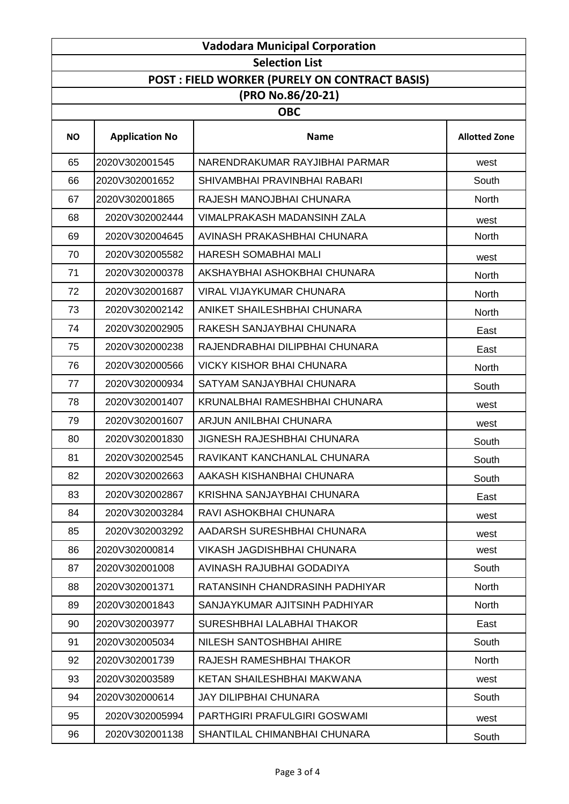|           | <b>Vadodara Municipal Corporation</b> |                                                |                      |  |
|-----------|---------------------------------------|------------------------------------------------|----------------------|--|
|           | <b>Selection List</b>                 |                                                |                      |  |
|           |                                       | POST : FIELD WORKER (PURELY ON CONTRACT BASIS) |                      |  |
|           |                                       | (PRO No.86/20-21)                              |                      |  |
|           |                                       | <b>OBC</b>                                     |                      |  |
| <b>NO</b> | <b>Application No</b>                 | <b>Name</b>                                    | <b>Allotted Zone</b> |  |
| 65        | 2020V302001545                        | NARENDRAKUMAR RAYJIBHAI PARMAR                 | west                 |  |
| 66        | 2020V302001652                        | SHIVAMBHAI PRAVINBHAI RABARI                   | South                |  |
| 67        | 2020V302001865                        | RAJESH MANOJBHAI CHUNARA                       | <b>North</b>         |  |
| 68        | 2020V302002444                        | <b>VIMALPRAKASH MADANSINH ZALA</b>             | west                 |  |
| 69        | 2020V302004645                        | AVINASH PRAKASHBHAI CHUNARA                    | <b>North</b>         |  |
| 70        | 2020V302005582                        | HARESH SOMABHAI MALI                           | west                 |  |
| 71        | 2020V302000378                        | AKSHAYBHAI ASHOKBHAI CHUNARA                   | North                |  |
| 72        | 2020V302001687                        | <b>VIRAL VIJAYKUMAR CHUNARA</b>                | <b>North</b>         |  |
| 73        | 2020V302002142                        | ANIKET SHAILESHBHAI CHUNARA                    | North                |  |
| 74        | 2020V302002905                        | RAKESH SANJAYBHAI CHUNARA                      | East                 |  |
| 75        | 2020V302000238                        | RAJENDRABHAI DILIPBHAI CHUNARA                 | East                 |  |
| 76        | 2020V302000566                        | <b>VICKY KISHOR BHAI CHUNARA</b>               | <b>North</b>         |  |
| 77        | 2020V302000934                        | SATYAM SANJAYBHAI CHUNARA                      | South                |  |
| 78        | 2020V302001407                        | KRUNALBHAI RAMESHBHAI CHUNARA                  | west                 |  |
| 79        | 2020V302001607                        | ARJUN ANILBHAI CHUNARA                         | west                 |  |
| 80        | 2020V302001830                        | <b>JIGNESH RAJESHBHAI CHUNARA</b>              | South                |  |
| 81        | 2020V302002545                        | RAVIKANT KANCHANLAL CHUNARA                    | South                |  |
| 82        | 2020V302002663                        | AAKASH KISHANBHAI CHUNARA                      | South                |  |
| 83        | 2020V302002867                        | KRISHNA SANJAYBHAI CHUNARA                     | East                 |  |
| 84        | 2020V302003284                        | RAVI ASHOKBHAI CHUNARA                         | west                 |  |
| 85        | 2020V302003292                        | AADARSH SURESHBHAI CHUNARA                     | west                 |  |
| 86        | 2020V302000814                        | <b>VIKASH JAGDISHBHAI CHUNARA</b>              | west                 |  |
| 87        | 2020V302001008                        | AVINASH RAJUBHAI GODADIYA                      | South                |  |
| 88        | 2020V302001371                        | RATANSINH CHANDRASINH PADHIYAR                 | North                |  |
| 89        | 2020V302001843                        | SANJAYKUMAR AJITSINH PADHIYAR                  | North                |  |
| 90        | 2020V302003977                        | SURESHBHAI LALABHAI THAKOR                     | East                 |  |
| 91        | 2020V302005034                        | NILESH SANTOSHBHAI AHIRE                       | South                |  |
| 92        | 2020V302001739                        | RAJESH RAMESHBHAI THAKOR                       | North                |  |
| 93        | 2020V302003589                        | KETAN SHAILESHBHAI MAKWANA                     | west                 |  |
| 94        | 2020V302000614                        | <b>JAY DILIPBHAI CHUNARA</b>                   | South                |  |
| 95        | 2020V302005994                        | PARTHGIRI PRAFULGIRI GOSWAMI                   | west                 |  |
| 96        | 2020V302001138                        | SHANTILAL CHIMANBHAI CHUNARA                   | South                |  |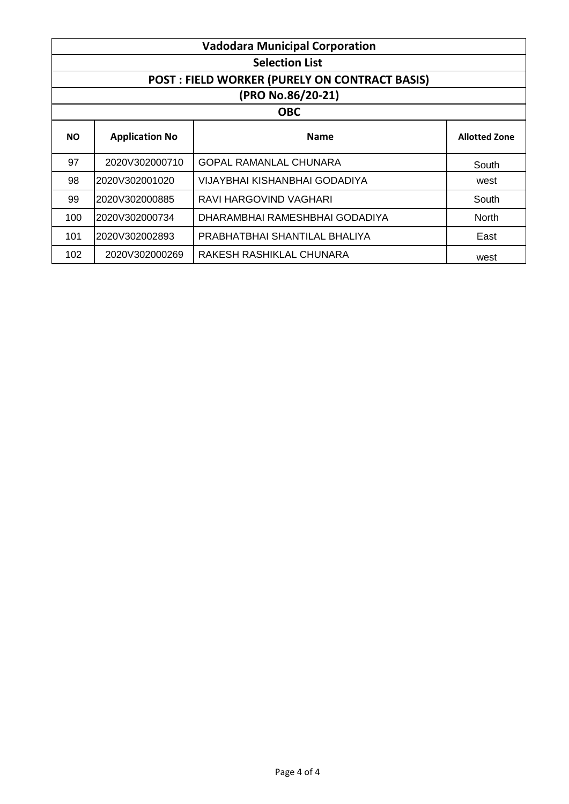|           | <b>Vadodara Municipal Corporation</b> |                                                      |                      |  |
|-----------|---------------------------------------|------------------------------------------------------|----------------------|--|
|           |                                       | <b>Selection List</b>                                |                      |  |
|           |                                       | <b>POST: FIELD WORKER (PURELY ON CONTRACT BASIS)</b> |                      |  |
|           |                                       | (PRO No.86/20-21)                                    |                      |  |
|           |                                       | <b>OBC</b>                                           |                      |  |
| <b>NO</b> | <b>Application No</b>                 | <b>Name</b>                                          | <b>Allotted Zone</b> |  |
| 97        | 2020V302000710                        | <b>GOPAL RAMANLAL CHUNARA</b>                        | South                |  |
| 98        | 2020V302001020                        | VIJAYBHAI KISHANBHAI GODADIYA                        | west                 |  |
| 99        | 2020V302000885                        | RAVI HARGOVIND VAGHARI                               | South                |  |
| 100       | 2020V302000734                        | DHARAMBHAI RAMESHBHAI GODADIYA                       | <b>North</b>         |  |
| 101       | 2020V302002893                        | PRABHATBHAI SHANTILAL BHALIYA                        | East                 |  |
| 102       | 2020V302000269                        | RAKESH RASHIKLAL CHUNARA                             | west                 |  |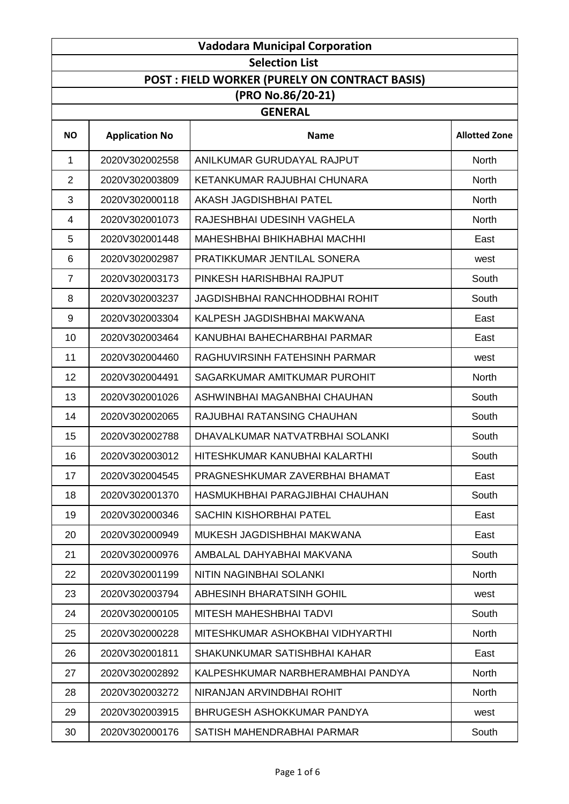| <b>Vadodara Municipal Corporation</b> |                       |                                                      |                      |  |
|---------------------------------------|-----------------------|------------------------------------------------------|----------------------|--|
|                                       | <b>Selection List</b> |                                                      |                      |  |
|                                       |                       | <b>POST: FIELD WORKER (PURELY ON CONTRACT BASIS)</b> |                      |  |
|                                       |                       | (PRO No.86/20-21)                                    |                      |  |
|                                       |                       | <b>GENERAL</b>                                       |                      |  |
| <b>NO</b>                             | <b>Application No</b> | <b>Name</b>                                          | <b>Allotted Zone</b> |  |
| 1                                     | 2020V302002558        | ANILKUMAR GURUDAYAL RAJPUT                           | <b>North</b>         |  |
| $\overline{2}$                        | 2020V302003809        | KETANKUMAR RAJUBHAI CHUNARA                          | North                |  |
| 3                                     | 2020V302000118        | AKASH JAGDISHBHAI PATEL                              | North                |  |
| $\overline{4}$                        | 2020V302001073        | RAJESHBHAI UDESINH VAGHELA                           | North                |  |
| 5                                     | 2020V302001448        | <b>MAHESHBHAI BHIKHABHAI MACHHI</b>                  | East                 |  |
| 6                                     | 2020V302002987        | PRATIKKUMAR JENTILAL SONERA                          | west                 |  |
| $\overline{7}$                        | 2020V302003173        | PINKESH HARISHBHAI RAJPUT                            | South                |  |
| 8                                     | 2020V302003237        | <b>JAGDISHBHAI RANCHHODBHAI ROHIT</b>                | South                |  |
| 9                                     | 2020V302003304        | KALPESH JAGDISHBHAI MAKWANA                          | East                 |  |
| 10                                    | 2020V302003464        | KANUBHAI BAHECHARBHAI PARMAR                         | East                 |  |
| 11                                    | 2020V302004460        | RAGHUVIRSINH FATEHSINH PARMAR                        | west                 |  |
| 12                                    | 2020V302004491        | SAGARKUMAR AMITKUMAR PUROHIT                         | North                |  |
| 13                                    | 2020V302001026        | ASHWINBHAI MAGANBHAI CHAUHAN                         | South                |  |
| 14                                    | 2020V302002065        | RAJUBHAI RATANSING CHAUHAN                           | South                |  |
| 15                                    | 2020V302002788        | DHAVALKUMAR NATVATRBHAI SOLANKI                      | South                |  |
| 16                                    | 2020V302003012        | HITESHKUMAR KANUBHAI KALARTHI                        | South                |  |
| 17                                    | 2020V302004545        | PRAGNESHKUMAR ZAVERBHAI BHAMAT                       | East                 |  |
| 18                                    | 2020V302001370        | HASMUKHBHAI PARAGJIBHAI CHAUHAN                      | South                |  |
| 19                                    | 2020V302000346        | <b>SACHIN KISHORBHAI PATEL</b>                       | East                 |  |
| 20                                    | 2020V302000949        | MUKESH JAGDISHBHAI MAKWANA                           | East                 |  |
| 21                                    | 2020V302000976        | AMBALAL DAHYABHAI MAKVANA                            | South                |  |
| 22                                    | 2020V302001199        | NITIN NAGINBHAI SOLANKI                              | North                |  |
| 23                                    | 2020V302003794        | ABHESINH BHARATSINH GOHIL                            | west                 |  |
| 24                                    | 2020V302000105        | MITESH MAHESHBHAI TADVI                              | South                |  |
| 25                                    | 2020V302000228        | MITESHKUMAR ASHOKBHAI VIDHYARTHI                     | North                |  |
| 26                                    | 2020V302001811        | SHAKUNKUMAR SATISHBHAI KAHAR                         | East                 |  |
| 27                                    | 2020V302002892        | KALPESHKUMAR NARBHERAMBHAI PANDYA                    | North                |  |
| 28                                    | 2020V302003272        | NIRANJAN ARVINDBHAI ROHIT                            | North                |  |
| 29                                    | 2020V302003915        | BHRUGESH ASHOKKUMAR PANDYA                           | west                 |  |
| 30                                    | 2020V302000176        | SATISH MAHENDRABHAI PARMAR                           | South                |  |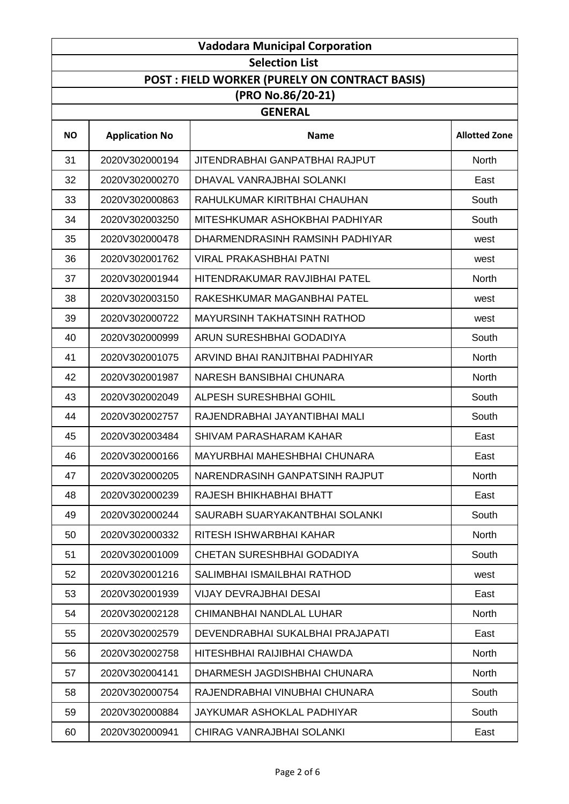| <b>Vadodara Municipal Corporation</b> |                                                |                                       |                      |  |
|---------------------------------------|------------------------------------------------|---------------------------------------|----------------------|--|
|                                       |                                                | <b>Selection List</b>                 |                      |  |
|                                       | POST : FIELD WORKER (PURELY ON CONTRACT BASIS) |                                       |                      |  |
|                                       |                                                | (PRO No.86/20-21)                     |                      |  |
|                                       |                                                | <b>GENERAL</b>                        |                      |  |
| <b>NO</b>                             | <b>Application No</b>                          | <b>Name</b>                           | <b>Allotted Zone</b> |  |
| 31                                    | 2020V302000194                                 | <b>JITENDRABHAI GANPATBHAI RAJPUT</b> | North                |  |
| 32                                    | 2020V302000270                                 | DHAVAL VANRAJBHAI SOLANKI             | East                 |  |
| 33                                    | 2020V302000863                                 | RAHULKUMAR KIRITBHAI CHAUHAN          | South                |  |
| 34                                    | 2020V302003250                                 | MITESHKUMAR ASHOKBHAI PADHIYAR        | South                |  |
| 35                                    | 2020V302000478                                 | DHARMENDRASINH RAMSINH PADHIYAR       | west                 |  |
| 36                                    | 2020V302001762                                 | VIRAL PRAKASHBHAI PATNI               | west                 |  |
| 37                                    | 2020V302001944                                 | HITENDRAKUMAR RAVJIBHAI PATEL         | North                |  |
| 38                                    | 2020V302003150                                 | RAKESHKUMAR MAGANBHAI PATEL           | west                 |  |
| 39                                    | 2020V302000722                                 | <b>MAYURSINH TAKHATSINH RATHOD</b>    | west                 |  |
| 40                                    | 2020V302000999                                 | ARUN SURESHBHAI GODADIYA              | South                |  |
| 41                                    | 2020V302001075                                 | ARVIND BHAI RANJITBHAI PADHIYAR       | North                |  |
| 42                                    | 2020V302001987                                 | NARESH BANSIBHAI CHUNARA              | North                |  |
| 43                                    | 2020V302002049                                 | ALPESH SURESHBHAI GOHIL               | South                |  |
| 44                                    | 2020V302002757                                 | RAJENDRABHAI JAYANTIBHAI MALI         | South                |  |
| 45                                    | 2020V302003484                                 | SHIVAM PARASHARAM KAHAR               | East                 |  |
| 46                                    | 2020V302000166                                 | MAYURBHAI MAHESHBHAI CHUNARA          | East                 |  |
| 47                                    | 2020V302000205                                 | NARENDRASINH GANPATSINH RAJPUT        | North                |  |
| 48                                    | 2020V302000239                                 | RAJESH BHIKHABHAI BHATT               | East                 |  |
| 49                                    | 2020V302000244                                 | SAURABH SUARYAKANTBHAI SOLANKI        | South                |  |
| 50                                    | 2020V302000332                                 | RITESH ISHWARBHAI KAHAR               | North                |  |
| 51                                    | 2020V302001009                                 | CHETAN SURESHBHAI GODADIYA            | South                |  |
| 52                                    | 2020V302001216                                 | SALIMBHAI ISMAILBHAI RATHOD           | west                 |  |
| 53                                    | 2020V302001939                                 | <b>VIJAY DEVRAJBHAI DESAI</b>         | East                 |  |
| 54                                    | 2020V302002128                                 | CHIMANBHAI NANDLAL LUHAR              | North                |  |
| 55                                    | 2020V302002579                                 | DEVENDRABHAI SUKALBHAI PRAJAPATI      | East                 |  |
| 56                                    | 2020V302002758                                 | HITESHBHAI RAIJIBHAI CHAWDA           | <b>North</b>         |  |
| 57                                    | 2020V302004141                                 | DHARMESH JAGDISHBHAI CHUNARA          | North                |  |
| 58                                    | 2020V302000754                                 | RAJENDRABHAI VINUBHAI CHUNARA         | South                |  |
| 59                                    | 2020V302000884                                 | JAYKUMAR ASHOKLAL PADHIYAR            | South                |  |
| 60                                    | 2020V302000941                                 | CHIRAG VANRAJBHAI SOLANKI             | East                 |  |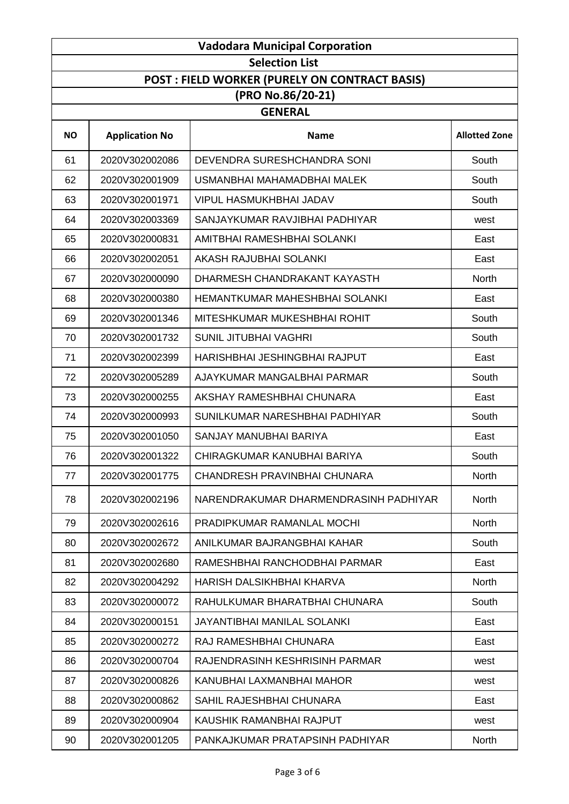| <b>Vadodara Municipal Corporation</b> |                       |                                                |                      |  |
|---------------------------------------|-----------------------|------------------------------------------------|----------------------|--|
|                                       | <b>Selection List</b> |                                                |                      |  |
|                                       |                       | POST : FIELD WORKER (PURELY ON CONTRACT BASIS) |                      |  |
|                                       |                       | (PRO No.86/20-21)                              |                      |  |
|                                       |                       | <b>GENERAL</b>                                 |                      |  |
| <b>NO</b>                             | <b>Application No</b> | <b>Name</b>                                    | <b>Allotted Zone</b> |  |
| 61                                    | 2020V302002086        | DEVENDRA SURESHCHANDRA SONI                    | South                |  |
| 62                                    | 2020V302001909        | USMANBHAI MAHAMADBHAI MALEK                    | South                |  |
| 63                                    | 2020V302001971        | <b>VIPUL HASMUKHBHAI JADAV</b>                 | South                |  |
| 64                                    | 2020V302003369        | SANJAYKUMAR RAVJIBHAI PADHIYAR                 | west                 |  |
| 65                                    | 2020V302000831        | AMITBHAI RAMESHBHAI SOLANKI                    | East                 |  |
| 66                                    | 2020V302002051        | AKASH RAJUBHAI SOLANKI                         | East                 |  |
| 67                                    | 2020V302000090        | DHARMESH CHANDRAKANT KAYASTH                   | North                |  |
| 68                                    | 2020V302000380        | HEMANTKUMAR MAHESHBHAI SOLANKI                 | East                 |  |
| 69                                    | 2020V302001346        | MITESHKUMAR MUKESHBHAI ROHIT                   | South                |  |
| 70                                    | 2020V302001732        | <b>SUNIL JITUBHAI VAGHRI</b>                   | South                |  |
| 71                                    | 2020V302002399        | HARISHBHAI JESHINGBHAI RAJPUT                  | East                 |  |
| 72                                    | 2020V302005289        | AJAYKUMAR MANGALBHAI PARMAR                    | South                |  |
| 73                                    | 2020V302000255        | AKSHAY RAMESHBHAI CHUNARA                      | East                 |  |
| 74                                    | 2020V302000993        | SUNILKUMAR NARESHBHAI PADHIYAR                 | South                |  |
| 75                                    | 2020V302001050        | SANJAY MANUBHAI BARIYA                         | East                 |  |
| 76                                    | 2020V302001322        | CHIRAGKUMAR KANUBHAI BARIYA                    | South                |  |
| 77                                    | 2020V302001775        | CHANDRESH PRAVINBHAI CHUNARA                   | North                |  |
| 78                                    | 2020V302002196        | NARENDRAKUMAR DHARMENDRASINH PADHIYAR          | North                |  |
| 79                                    | 2020V302002616        | PRADIPKUMAR RAMANLAL MOCHI                     | <b>North</b>         |  |
| 80                                    | 2020V302002672        | ANILKUMAR BAJRANGBHAI KAHAR                    | South                |  |
| 81                                    | 2020V302002680        | RAMESHBHAI RANCHODBHAI PARMAR                  | East                 |  |
| 82                                    | 2020V302004292        | HARISH DALSIKHBHAI KHARVA                      | North                |  |
| 83                                    | 2020V302000072        | RAHULKUMAR BHARATBHAI CHUNARA                  | South                |  |
| 84                                    | 2020V302000151        | <b>JAYANTIBHAI MANILAL SOLANKI</b>             | East                 |  |
| 85                                    | 2020V302000272        | RAJ RAMESHBHAI CHUNARA                         | East                 |  |
| 86                                    | 2020V302000704        | RAJENDRASINH KESHRISINH PARMAR                 | west                 |  |
| 87                                    | 2020V302000826        | KANUBHAI LAXMANBHAI MAHOR                      | west                 |  |
| 88                                    | 2020V302000862        | SAHIL RAJESHBHAI CHUNARA                       | East                 |  |
| 89                                    | 2020V302000904        | KAUSHIK RAMANBHAI RAJPUT                       | west                 |  |
| 90                                    | 2020V302001205        | PANKAJKUMAR PRATAPSINH PADHIYAR                | North                |  |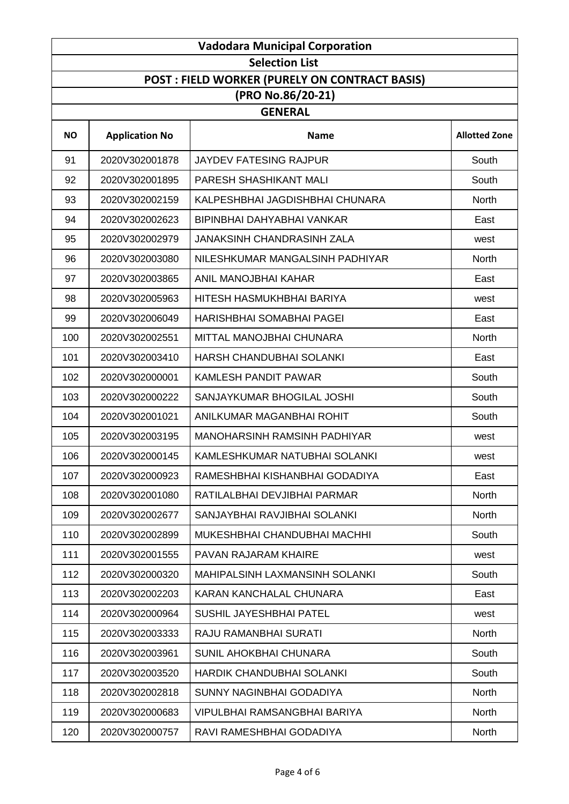| <b>Vadodara Municipal Corporation</b> |                       |                                                      |                      |
|---------------------------------------|-----------------------|------------------------------------------------------|----------------------|
|                                       |                       | <b>Selection List</b>                                |                      |
|                                       |                       | <b>POST: FIELD WORKER (PURELY ON CONTRACT BASIS)</b> |                      |
|                                       |                       | (PRO No.86/20-21)                                    |                      |
|                                       |                       | <b>GENERAL</b>                                       |                      |
| <b>NO</b>                             | <b>Application No</b> | <b>Name</b>                                          | <b>Allotted Zone</b> |
| 91                                    | 2020V302001878        | <b>JAYDEV FATESING RAJPUR</b>                        | South                |
| 92                                    | 2020V302001895        | PARESH SHASHIKANT MALI                               | South                |
| 93                                    | 2020V302002159        | KALPESHBHAI JAGDISHBHAI CHUNARA                      | North                |
| 94                                    | 2020V302002623        | BIPINBHAI DAHYABHAI VANKAR                           | East                 |
| 95                                    | 2020V302002979        | <b>JANAKSINH CHANDRASINH ZALA</b>                    | west                 |
| 96                                    | 2020V302003080        | NILESHKUMAR MANGALSINH PADHIYAR                      | North                |
| 97                                    | 2020V302003865        | ANIL MANOJBHAI KAHAR                                 | East                 |
| 98                                    | 2020V302005963        | HITESH HASMUKHBHAI BARIYA                            | west                 |
| 99                                    | 2020V302006049        | <b>HARISHBHAI SOMABHAI PAGEI</b>                     | East                 |
| 100                                   | 2020V302002551        | MITTAL MANOJBHAI CHUNARA                             | <b>North</b>         |
| 101                                   | 2020V302003410        | HARSH CHANDUBHAI SOLANKI                             | East                 |
| 102                                   | 2020V302000001        | <b>KAMLESH PANDIT PAWAR</b>                          | South                |
| 103                                   | 2020V302000222        | SANJAYKUMAR BHOGILAL JOSHI                           | South                |
| 104                                   | 2020V302001021        | ANILKUMAR MAGANBHAI ROHIT                            | South                |
| 105                                   | 2020V302003195        | <b>MANOHARSINH RAMSINH PADHIYAR</b>                  | west                 |
| 106                                   | 2020V302000145        | KAMLESHKUMAR NATUBHAI SOLANKI                        | west                 |
| 107                                   | 2020V302000923        | RAMESHBHAI KISHANBHAI GODADIYA                       | East                 |
| 108                                   | 2020V302001080        | RATILALBHAI DEVJIBHAI PARMAR                         | North                |
| 109                                   | 2020V302002677        | SANJAYBHAI RAVJIBHAI SOLANKI                         | <b>North</b>         |
| 110                                   | 2020V302002899        | MUKESHBHAI CHANDUBHAI MACHHI                         | South                |
| 111                                   | 2020V302001555        | PAVAN RAJARAM KHAIRE                                 | west                 |
| 112                                   | 2020V302000320        | <b>MAHIPALSINH LAXMANSINH SOLANKI</b>                | South                |
| 113                                   | 2020V302002203        | KARAN KANCHALAL CHUNARA                              | East                 |
| 114                                   | 2020V302000964        | SUSHIL JAYESHBHAI PATEL                              | west                 |
| 115                                   | 2020V302003333        | RAJU RAMANBHAI SURATI                                | North                |
| 116                                   | 2020V302003961        | SUNIL AHOKBHAI CHUNARA                               | South                |
| 117                                   | 2020V302003520        | HARDIK CHANDUBHAI SOLANKI                            | South                |
| 118                                   | 2020V302002818        | SUNNY NAGINBHAI GODADIYA                             | <b>North</b>         |
| 119                                   | 2020V302000683        | VIPULBHAI RAMSANGBHAI BARIYA                         | North                |
| 120                                   | 2020V302000757        | RAVI RAMESHBHAI GODADIYA                             | North                |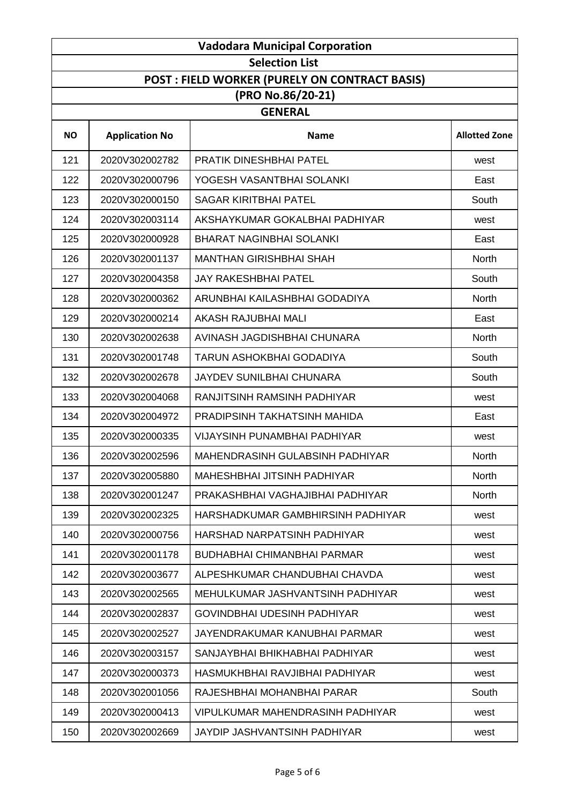| <b>Vadodara Municipal Corporation</b> |                       |                                                      |                      |
|---------------------------------------|-----------------------|------------------------------------------------------|----------------------|
|                                       |                       | <b>Selection List</b>                                |                      |
|                                       |                       | <b>POST: FIELD WORKER (PURELY ON CONTRACT BASIS)</b> |                      |
|                                       |                       | (PRO No.86/20-21)                                    |                      |
|                                       |                       | <b>GENERAL</b>                                       |                      |
| <b>NO</b>                             | <b>Application No</b> | <b>Name</b>                                          | <b>Allotted Zone</b> |
| 121                                   | 2020V302002782        | PRATIK DINESHBHAI PATEL                              | west                 |
| 122                                   | 2020V302000796        | YOGESH VASANTBHAI SOLANKI                            | East                 |
| 123                                   | 2020V302000150        | <b>SAGAR KIRITBHAI PATEL</b>                         | South                |
| 124                                   | 2020V302003114        | AKSHAYKUMAR GOKALBHAI PADHIYAR                       | west                 |
| 125                                   | 2020V302000928        | <b>BHARAT NAGINBHAI SOLANKI</b>                      | East                 |
| 126                                   | 2020V302001137        | <b>MANTHAN GIRISHBHAI SHAH</b>                       | <b>North</b>         |
| 127                                   | 2020V302004358        | <b>JAY RAKESHBHAI PATEL</b>                          | South                |
| 128                                   | 2020V302000362        | ARUNBHAI KAILASHBHAI GODADIYA                        | <b>North</b>         |
| 129                                   | 2020V302000214        | AKASH RAJUBHAI MALI                                  | East                 |
| 130                                   | 2020V302002638        | AVINASH JAGDISHBHAI CHUNARA                          | North                |
| 131                                   | 2020V302001748        | TARUN ASHOKBHAI GODADIYA                             | South                |
| 132                                   | 2020V302002678        | <b>JAYDEV SUNILBHAI CHUNARA</b>                      | South                |
| 133                                   | 2020V302004068        | RANJITSINH RAMSINH PADHIYAR                          | west                 |
| 134                                   | 2020V302004972        | PRADIPSINH TAKHATSINH MAHIDA                         | East                 |
| 135                                   | 2020V302000335        | <b>VIJAYSINH PUNAMBHAI PADHIYAR</b>                  | west                 |
| 136                                   | 2020V302002596        | MAHENDRASINH GULABSINH PADHIYAR                      | North                |
| 137                                   | 2020V302005880        | MAHESHBHAI JITSINH PADHIYAR                          | <b>North</b>         |
| 138                                   | 2020V302001247        | PRAKASHBHAI VAGHAJIBHAI PADHIYAR                     | <b>North</b>         |
| 139                                   | 2020V302002325        | HARSHADKUMAR GAMBHIRSINH PADHIYAR                    | west                 |
| 140                                   | 2020V302000756        | HARSHAD NARPATSINH PADHIYAR                          | west                 |
| 141                                   | 2020V302001178        | <b>BUDHABHAI CHIMANBHAI PARMAR</b>                   | west                 |
| 142                                   | 2020V302003677        | ALPESHKUMAR CHANDUBHAI CHAVDA                        | west                 |
| 143                                   | 2020V302002565        | MEHULKUMAR JASHVANTSINH PADHIYAR                     | west                 |
| 144                                   | 2020V302002837        | <b>GOVINDBHAI UDESINH PADHIYAR</b>                   | west                 |
| 145                                   | 2020V302002527        | JAYENDRAKUMAR KANUBHAI PARMAR                        | west                 |
| 146                                   | 2020V302003157        | SANJAYBHAI BHIKHABHAI PADHIYAR                       | west                 |
| 147                                   | 2020V302000373        | HASMUKHBHAI RAVJIBHAI PADHIYAR                       | west                 |
| 148                                   | 2020V302001056        | RAJESHBHAI MOHANBHAI PARAR                           | South                |
| 149                                   | 2020V302000413        | <b>VIPULKUMAR MAHENDRASINH PADHIYAR</b>              | west                 |
| 150                                   | 2020V302002669        | JAYDIP JASHVANTSINH PADHIYAR                         | west                 |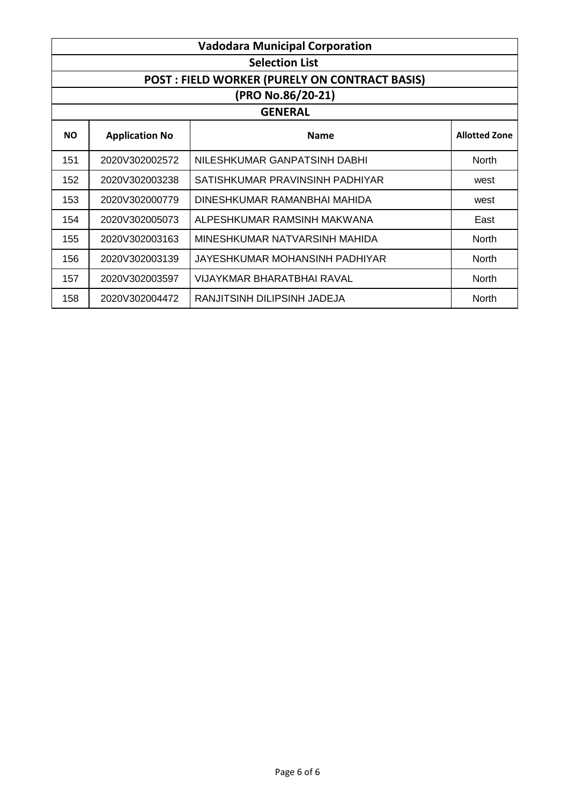| <b>Vadodara Municipal Corporation</b>                |                       |                                 |                      |  |  |  |
|------------------------------------------------------|-----------------------|---------------------------------|----------------------|--|--|--|
| <b>Selection List</b>                                |                       |                                 |                      |  |  |  |
| <b>POST: FIELD WORKER (PURELY ON CONTRACT BASIS)</b> |                       |                                 |                      |  |  |  |
| (PRO No.86/20-21)                                    |                       |                                 |                      |  |  |  |
| <b>GENERAL</b>                                       |                       |                                 |                      |  |  |  |
| <b>NO</b>                                            | <b>Application No</b> | <b>Name</b>                     | <b>Allotted Zone</b> |  |  |  |
| 151                                                  | 2020V302002572        | NILESHKUMAR GANPATSINH DABHI    | <b>North</b>         |  |  |  |
| 152                                                  | 2020V302003238        | SATISHKUMAR PRAVINSINH PADHIYAR | west                 |  |  |  |
| 153                                                  | 2020V302000779        | DINESHKUMAR RAMANBHAI MAHIDA    | west                 |  |  |  |
| 154                                                  | 2020V302005073        | ALPESHKUMAR RAMSINH MAKWANA     | East                 |  |  |  |
| 155                                                  | 2020V302003163        | MINESHKUMAR NATVARSINH MAHIDA   | <b>North</b>         |  |  |  |
| 156                                                  | 2020V302003139        | JAYESHKUMAR MOHANSINH PADHIYAR  | <b>North</b>         |  |  |  |
| 157                                                  | 2020V302003597        | VIJAYKMAR BHARATBHAI RAVAL      | North                |  |  |  |
| 158                                                  | 2020V302004472        | RANJITSINH DILIPSINH JADEJA     | North                |  |  |  |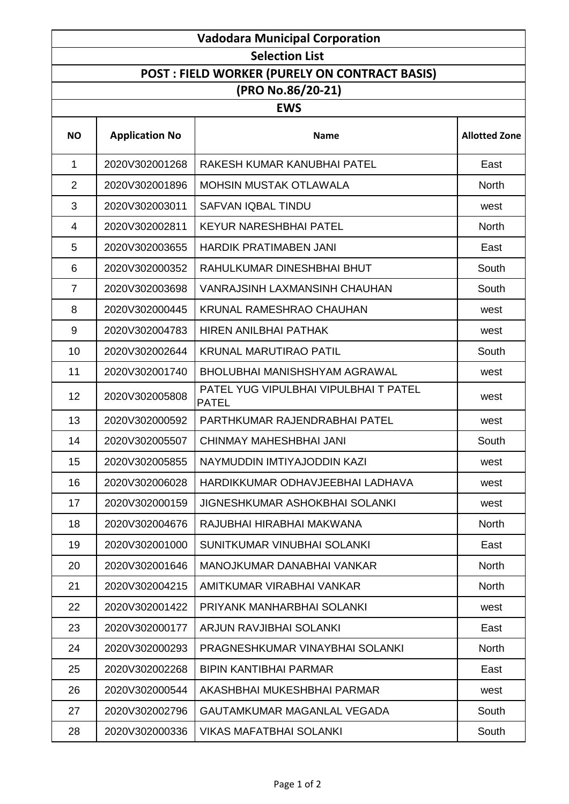| <b>Vadodara Municipal Corporation</b>                |                       |                                                       |                      |  |  |  |
|------------------------------------------------------|-----------------------|-------------------------------------------------------|----------------------|--|--|--|
| <b>Selection List</b>                                |                       |                                                       |                      |  |  |  |
| <b>POST: FIELD WORKER (PURELY ON CONTRACT BASIS)</b> |                       |                                                       |                      |  |  |  |
| (PRO No.86/20-21)                                    |                       |                                                       |                      |  |  |  |
| <b>EWS</b>                                           |                       |                                                       |                      |  |  |  |
| <b>NO</b>                                            | <b>Application No</b> | <b>Name</b>                                           | <b>Allotted Zone</b> |  |  |  |
| 1                                                    | 2020V302001268        | RAKESH KUMAR KANUBHAI PATEL                           | East                 |  |  |  |
| $\overline{2}$                                       | 2020V302001896        | <b>MOHSIN MUSTAK OTLAWALA</b>                         | <b>North</b>         |  |  |  |
| 3                                                    | 2020V302003011        | SAFVAN IQBAL TINDU                                    | west                 |  |  |  |
| $\overline{4}$                                       | 2020V302002811        | <b>KEYUR NARESHBHAI PATEL</b>                         | <b>North</b>         |  |  |  |
| 5                                                    | 2020V302003655        | <b>HARDIK PRATIMABEN JANI</b>                         | East                 |  |  |  |
| 6                                                    | 2020V302000352        | RAHULKUMAR DINESHBHAI BHUT                            | South                |  |  |  |
| $\overline{7}$                                       | 2020V302003698        | <b>VANRAJSINH LAXMANSINH CHAUHAN</b>                  | South                |  |  |  |
| 8                                                    | 2020V302000445        | <b>KRUNAL RAMESHRAO CHAUHAN</b>                       | west                 |  |  |  |
| 9                                                    | 2020V302004783        | <b>HIREN ANILBHAI PATHAK</b>                          | west                 |  |  |  |
| 10                                                   | 2020V302002644        | <b>KRUNAL MARUTIRAO PATIL</b>                         | South                |  |  |  |
| 11                                                   | 2020V302001740        | <b>BHOLUBHAI MANISHSHYAM AGRAWAL</b>                  | west                 |  |  |  |
| 12                                                   | 2020V302005808        | PATEL YUG VIPULBHAI VIPULBHAI T PATEL<br><b>PATEL</b> | west                 |  |  |  |
| 13                                                   | 2020V302000592        | PARTHKUMAR RAJENDRABHAI PATEL                         | west                 |  |  |  |
| 14                                                   | 2020V302005507        | CHINMAY MAHESHBHAI JANI                               | South                |  |  |  |
| 15                                                   | 2020V302005855        | NAYMUDDIN IMTIYAJODDIN KAZI                           | west                 |  |  |  |
| 16                                                   | 2020V302006028        | HARDIKKUMAR ODHAVJEEBHAI LADHAVA                      | west                 |  |  |  |
| 17                                                   | 2020V302000159        | <b>JIGNESHKUMAR ASHOKBHAI SOLANKI</b>                 | west                 |  |  |  |
| 18                                                   | 2020V302004676        | RAJUBHAI HIRABHAI MAKWANA                             | <b>North</b>         |  |  |  |
| 19                                                   | 2020V302001000        | SUNITKUMAR VINUBHAI SOLANKI                           | East                 |  |  |  |
| 20                                                   | 2020V302001646        | <b>MANOJKUMAR DANABHAI VANKAR</b>                     | <b>North</b>         |  |  |  |
| 21                                                   | 2020V302004215        | AMITKUMAR VIRABHAI VANKAR                             | <b>North</b>         |  |  |  |
| 22                                                   | 2020V302001422        | PRIYANK MANHARBHAI SOLANKI                            | west                 |  |  |  |
| 23                                                   | 2020V302000177        | ARJUN RAVJIBHAI SOLANKI                               | East                 |  |  |  |
| 24                                                   | 2020V302000293        | PRAGNESHKUMAR VINAYBHAI SOLANKI                       | <b>North</b>         |  |  |  |
| 25                                                   | 2020V302002268        | <b>BIPIN KANTIBHAI PARMAR</b>                         | East                 |  |  |  |
| 26                                                   | 2020V302000544        | AKASHBHAI MUKESHBHAI PARMAR                           | west                 |  |  |  |
| 27                                                   | 2020V302002796        | GAUTAMKUMAR MAGANLAL VEGADA                           | South                |  |  |  |
| 28                                                   | 2020V302000336        | <b>VIKAS MAFATBHAI SOLANKI</b>                        | South                |  |  |  |